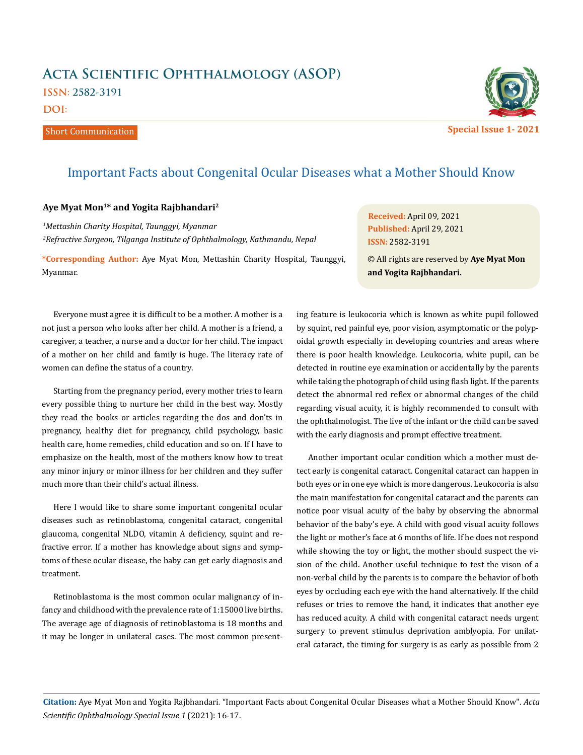## **Acta Scientific Ophthalmology (ASOP) ISSN: 2582-3191**

**DOI:** 

Short Communication



**Special Issue 1- 2021**

## Important Facts about Congenital Ocular Diseases what a Mother Should Know

## **Aye Myat Mon1\* and Yogita Rajbhandari2**

*1 Mettashin Charity Hospital, Taunggyi, Myanmar 2 Refractive Surgeon, Tilganga Institute of Ophthalmology, Kathmandu, Nepal* 

**\*Corresponding Author:** Aye Myat Mon, Mettashin Charity Hospital, Taunggyi, Myanmar.

**Received:** April 09, 2021 **Published:** April 29, 2021 **ISSN:** 2582-3191

© All rights are reserved by **Aye Myat Mon and Yogita Rajbhandari.**

Everyone must agree it is difficult to be a mother. A mother is a not just a person who looks after her child. A mother is a friend, a caregiver, a teacher, a nurse and a doctor for her child. The impact of a mother on her child and family is huge. The literacy rate of women can define the status of a country.

Starting from the pregnancy period, every mother tries to learn every possible thing to nurture her child in the best way. Mostly they read the books or articles regarding the dos and don'ts in pregnancy, healthy diet for pregnancy, child psychology, basic health care, home remedies, child education and so on. If I have to emphasize on the health, most of the mothers know how to treat any minor injury or minor illness for her children and they suffer much more than their child's actual illness.

Here I would like to share some important congenital ocular diseases such as retinoblastoma, congenital cataract, congenital glaucoma, congenital NLDO, vitamin A deficiency, squint and refractive error. If a mother has knowledge about signs and symptoms of these ocular disease, the baby can get early diagnosis and treatment.

Retinoblastoma is the most common ocular malignancy of infancy and childhood with the prevalence rate of 1:15000 live births. The average age of diagnosis of retinoblastoma is 18 months and it may be longer in unilateral cases. The most common presenting feature is leukocoria which is known as white pupil followed by squint, red painful eye, poor vision, asymptomatic or the polypoidal growth especially in developing countries and areas where there is poor health knowledge. Leukocoria, white pupil, can be detected in routine eye examination or accidentally by the parents while taking the photograph of child using flash light. If the parents detect the abnormal red reflex or abnormal changes of the child regarding visual acuity, it is highly recommended to consult with the ophthalmologist. The live of the infant or the child can be saved with the early diagnosis and prompt effective treatment.

Another important ocular condition which a mother must detect early is congenital cataract. Congenital cataract can happen in both eyes or in one eye which is more dangerous. Leukocoria is also the main manifestation for congenital cataract and the parents can notice poor visual acuity of the baby by observing the abnormal behavior of the baby's eye. A child with good visual acuity follows the light or mother's face at 6 months of life. If he does not respond while showing the toy or light, the mother should suspect the vision of the child. Another useful technique to test the vison of a non-verbal child by the parents is to compare the behavior of both eyes by occluding each eye with the hand alternatively. If the child refuses or tries to remove the hand, it indicates that another eye has reduced acuity. A child with congenital cataract needs urgent surgery to prevent stimulus deprivation amblyopia. For unilateral cataract, the timing for surgery is as early as possible from 2

**Citation:** Aye Myat Mon and Yogita Rajbhandari*.* "Important Facts about Congenital Ocular Diseases what a Mother Should Know". *Acta Scientific Ophthalmology Special Issue 1* (2021): 16-17.